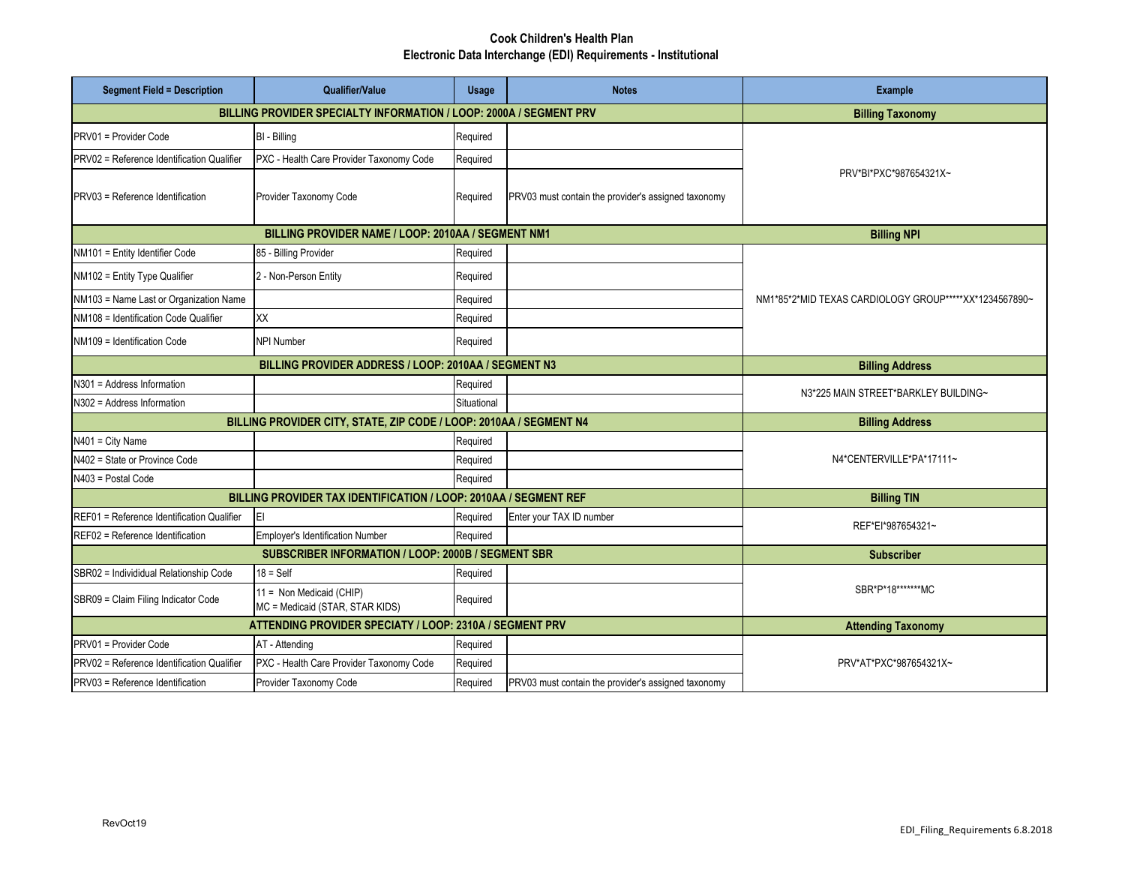## **Cook Children's Health Plan Electronic Data Interchange (EDI) Requirements - Institutional**

| <b>Segment Field = Description</b>                                 | Qualifier/Value                                                                               | <b>Usage</b> | <b>Notes</b>                                        | Example                                                |
|--------------------------------------------------------------------|-----------------------------------------------------------------------------------------------|--------------|-----------------------------------------------------|--------------------------------------------------------|
| BILLING PROVIDER SPECIALTY INFORMATION / LOOP: 2000A / SEGMENT PRV | <b>Billing Taxonomy</b>                                                                       |              |                                                     |                                                        |
| PRV01 = Provider Code                                              | BI - Billing                                                                                  | Required     |                                                     | PRV*BI*PXC*987654321X~                                 |
| PRV02 = Reference Identification Qualifier                         | PXC - Health Care Provider Taxonomy Code                                                      | Required     |                                                     |                                                        |
| <b>PRV03</b> = Reference Identification                            | Provider Taxonomy Code                                                                        | Required     | PRV03 must contain the provider's assigned taxonomy |                                                        |
|                                                                    | <b>Billing NPI</b>                                                                            |              |                                                     |                                                        |
| NM101 = Entity Identifier Code                                     | 85 - Billing Provider                                                                         | Required     |                                                     | NM1*85*2*MID TEXAS CARDIOLOGY GROUP*****XX*1234567890~ |
| NM102 = Entity Type Qualifier                                      | 2 - Non-Person Entity                                                                         | Required     |                                                     |                                                        |
| NM103 = Name Last or Organization Name                             |                                                                                               | Required     |                                                     |                                                        |
| NM108 = Identification Code Qualifier                              | XX                                                                                            | Required     |                                                     |                                                        |
| NM109 = Identification Code                                        | <b>NPI Number</b>                                                                             | Required     |                                                     |                                                        |
|                                                                    | <b>Billing Address</b>                                                                        |              |                                                     |                                                        |
| N301 = Address Information                                         |                                                                                               | Required     |                                                     | N3*225 MAIN STREET*BARKLEY BUILDING~                   |
| N302 = Address Information                                         |                                                                                               | Situational  |                                                     |                                                        |
| BILLING PROVIDER CITY, STATE, ZIP CODE / LOOP: 2010AA / SEGMENT N4 | <b>Billing Address</b>                                                                        |              |                                                     |                                                        |
| N401 = City Name                                                   |                                                                                               | Required     |                                                     | N4*CENTERVILLE*PA*17111~                               |
| N402 = State or Province Code                                      |                                                                                               | Required     |                                                     |                                                        |
| N403 = Postal Code                                                 |                                                                                               | Required     |                                                     |                                                        |
| BILLING PROVIDER TAX IDENTIFICATION / LOOP: 2010AA / SEGMENT REF   | <b>Billing TIN</b>                                                                            |              |                                                     |                                                        |
| REF01 = Reference Identification Qualifier                         | EI                                                                                            | Required     | Enter your TAX ID number                            | REF*EI*987654321~                                      |
| REF02 = Reference Identification                                   | <b>Employer's Identification Number</b><br>SUBSCRIBER INFORMATION / LOOP: 2000B / SEGMENT SBR | Required     |                                                     |                                                        |
|                                                                    | <b>Subscriber</b>                                                                             |              |                                                     |                                                        |
| SBR02 = Individidual Relationship Code                             | $18 = Self$                                                                                   | Required     |                                                     | SBR*P*18*******MC                                      |
| SBR09 = Claim Filing Indicator Code                                | 11 = Non Medicaid (CHIP)<br>MC = Medicaid (STAR, STAR KIDS)                                   | Required     |                                                     |                                                        |
| ATTENDING PROVIDER SPECIATY / LOOP: 2310A / SEGMENT PRV            | <b>Attending Taxonomy</b>                                                                     |              |                                                     |                                                        |
| PRV01 = Provider Code                                              | AT - Attending                                                                                | Required     |                                                     | PRV*AT*PXC*987654321X~                                 |
| PRV02 = Reference Identification Qualifier                         | PXC - Health Care Provider Taxonomy Code                                                      | Required     |                                                     |                                                        |
| PRV03 = Reference Identification                                   | Provider Taxonomy Code                                                                        | Required     | PRV03 must contain the provider's assigned taxonomy |                                                        |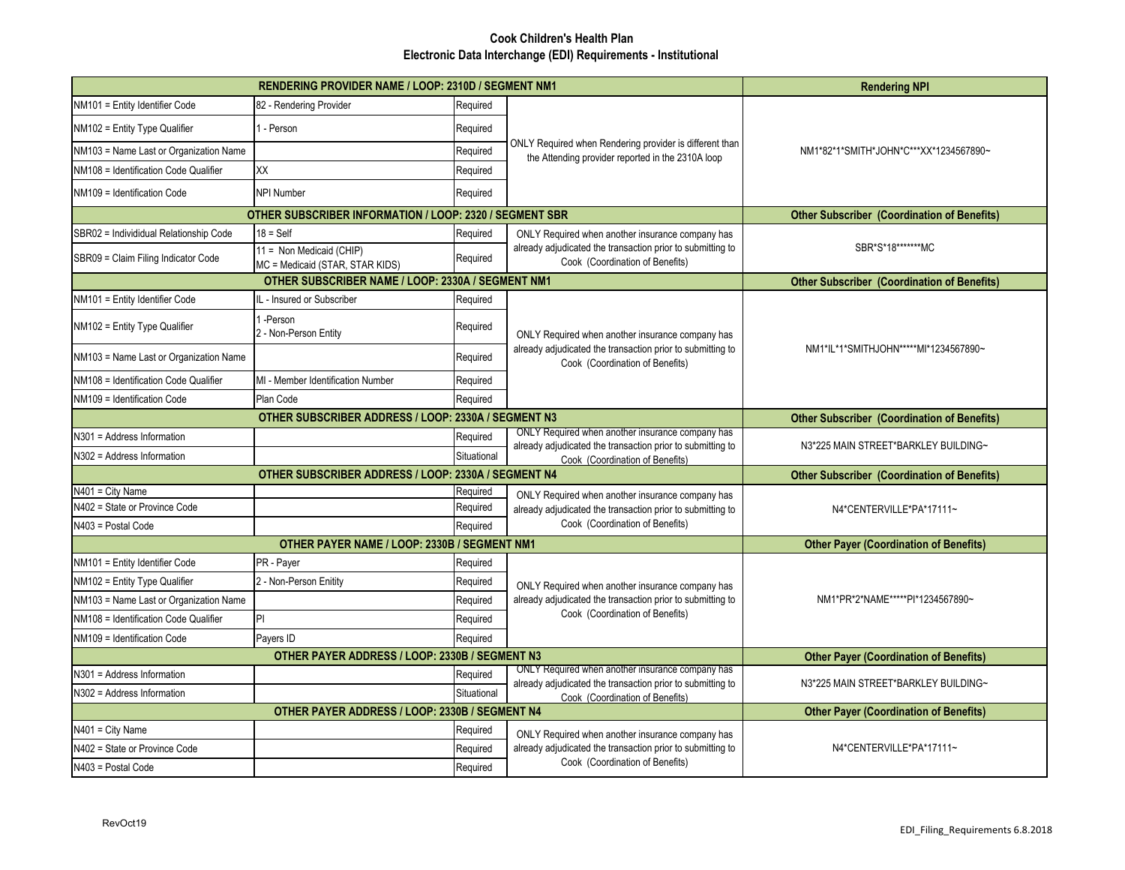## **Cook Children's Health Plan Electronic Data Interchange (EDI) Requirements - Institutional**

|                                        | <b>Rendering NPI</b>                                               |                                               |                                                                                                                                                   |                                                    |
|----------------------------------------|--------------------------------------------------------------------|-----------------------------------------------|---------------------------------------------------------------------------------------------------------------------------------------------------|----------------------------------------------------|
| NM101 = Entity Identifier Code         | 82 - Rendering Provider                                            | Required                                      | ONLY Required when Rendering provider is different than<br>the Attending provider reported in the 2310A loop                                      | NM1*82*1*SMITH*JOHN*C***XX*1234567890~             |
| NM102 = Entity Type Qualifier          | - Person                                                           | Required                                      |                                                                                                                                                   |                                                    |
| NM103 = Name Last or Organization Name |                                                                    | Required                                      |                                                                                                                                                   |                                                    |
| NM108 = Identification Code Qualifier  | XX                                                                 | Required                                      |                                                                                                                                                   |                                                    |
| NM109 = Identification Code            | <b>NPI Number</b>                                                  | Required                                      |                                                                                                                                                   |                                                    |
|                                        | OTHER SUBSCRIBER INFORMATION / LOOP: 2320 / SEGMENT SBR            |                                               |                                                                                                                                                   | <b>Other Subscriber (Coordination of Benefits)</b> |
| SBR02 = Individidual Relationship Code | $18 = Self$                                                        | Required                                      | ONLY Required when another insurance company has<br>already adjudicated the transaction prior to submitting to<br>Cook (Coordination of Benefits) | SBR*S*18********MC                                 |
| SBR09 = Claim Filing Indicator Code    | 11 = Non Medicaid (CHIP)<br>MC = Medicaid (STAR, STAR KIDS)        | Required                                      |                                                                                                                                                   |                                                    |
|                                        | <b>Other Subscriber (Coordination of Benefits)</b>                 |                                               |                                                                                                                                                   |                                                    |
| NM101 = Entity Identifier Code         | L - Insured or Subscriber                                          | Required                                      |                                                                                                                                                   |                                                    |
| NM102 = Entity Type Qualifier          | -Person<br>2 - Non-Person Entity                                   | Required                                      | ONLY Required when another insurance company has<br>already adjudicated the transaction prior to submitting to<br>Cook (Coordination of Benefits) | NM1*IL*1*SMITHJOHN*****MI*1234567890~              |
| NM103 = Name Last or Organization Name |                                                                    | Required                                      |                                                                                                                                                   |                                                    |
| NM108 = Identification Code Qualifier  | MI - Member Identification Number                                  | Required                                      |                                                                                                                                                   |                                                    |
| NM109 = Identification Code            | Plan Code                                                          | Required                                      |                                                                                                                                                   |                                                    |
|                                        | <b>Other Subscriber (Coordination of Benefits)</b>                 |                                               |                                                                                                                                                   |                                                    |
| N301 = Address Information             |                                                                    | Required                                      | ONLY Required when another insurance company has                                                                                                  | N3*225 MAIN STREET*BARKLEY BUILDING~               |
| N302 = Address Information             |                                                                    | Situational                                   | already adjudicated the transaction prior to submitting to<br>Cook (Coordination of Benefits)                                                     |                                                    |
|                                        | <b>Other Subscriber (Coordination of Benefits)</b>                 |                                               |                                                                                                                                                   |                                                    |
| V401 = City Name                       |                                                                    | Required                                      | ONLY Required when another insurance company has                                                                                                  | N4*CENTERVILLE*PA*17111~                           |
| N402 = State or Province Code          |                                                                    | Required                                      | already adjudicated the transaction prior to submitting to                                                                                        |                                                    |
| N403 = Postal Code                     | OTHER PAYER NAME / LOOP: 2330B / SEGMENT NM1                       | Required                                      | Cook (Coordination of Benefits)                                                                                                                   |                                                    |
|                                        | <b>Other Payer (Coordination of Benefits)</b>                      |                                               |                                                                                                                                                   |                                                    |
| NM101 = Entity Identifier Code         | PR - Payer                                                         | Required                                      |                                                                                                                                                   | NM1*PR*2*NAME*****PI*1234567890~                   |
| NM102 = Entity Type Qualifier          | 2 - Non-Person Enitity                                             | Required                                      | ONLY Required when another insurance company has                                                                                                  |                                                    |
| NM103 = Name Last or Organization Name |                                                                    | Required                                      | already adjudicated the transaction prior to submitting to<br>Cook (Coordination of Benefits)                                                     |                                                    |
| NM108 = Identification Code Qualifier  | PI                                                                 | Required                                      |                                                                                                                                                   |                                                    |
| NM109 = Identification Code            | Payers ID<br><b>OTHER PAYER ADDRESS / LOOP: 2330B / SEGMENT N3</b> | Required                                      |                                                                                                                                                   |                                                    |
|                                        | <b>Other Payer (Coordination of Benefits)</b>                      |                                               |                                                                                                                                                   |                                                    |
| N301 = Address Information             |                                                                    | Required                                      | ONLY Required when another insurance company has<br>already adjudicated the transaction prior to submitting to<br>Cook (Coordination of Benefits) | N3*225 MAIN STREET*BARKLEY BUILDING~               |
| N302 = Address Information             |                                                                    | Situational                                   |                                                                                                                                                   |                                                    |
|                                        | OTHER PAYER ADDRESS / LOOP: 2330B / SEGMENT N4                     | <b>Other Payer (Coordination of Benefits)</b> |                                                                                                                                                   |                                                    |
| N401 = City Name                       |                                                                    | Required                                      | ONLY Required when another insurance company has<br>already adjudicated the transaction prior to submitting to<br>Cook (Coordination of Benefits) | N4*CENTERVILLE*PA*17111~                           |
| N402 = State or Province Code          |                                                                    | Required                                      |                                                                                                                                                   |                                                    |
| N403 = Postal Code                     |                                                                    | Required                                      |                                                                                                                                                   |                                                    |